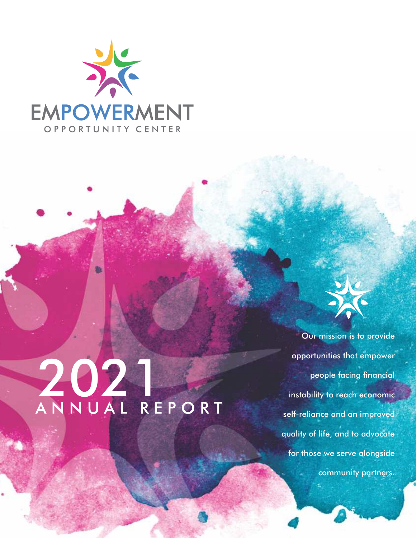

## 2021<br>ANNUAL REPORT

Our mission is to provide opportunities that empower people facing financial instability to reach economic self-reliance and an improved quality of life, and to advocate for those we serve alongside community partners.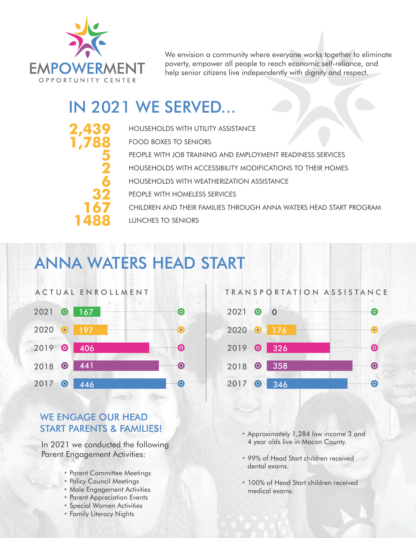

**2,439 1,788**

**5 2 6**

**32**

**167**

**1488**

We envision a community where everyone works together to eliminate poverty, empower all people to reach economic self-reliance, and help senior citizens live independently with dignity and respect.

#### IN 2021 WE SERVED...

HOUSEHOLDS WITH UTILITY ASSISTANCE FOOD BOXES TO SENIORS PEOPLE WITH JOB TRAINING AND EMPLOYMENT READINESS SERVICES HOUSEHOLDS WITH ACCESSIBILITY MODIFICATIONS TO THEIR HOMES HOUSEHOLDS WITH WEATHERIZATION ASSISTANCE PEOPLE WITH HOMELESS SERVICES CHILDREN AND THEIR FAMILIES THROUGH ANNA WATERS HEAD START PROGRAM LUNCHES TO SENIORS

#### ANNA WATERS HEAD START



#### WE ENGAGE OUR HEAD START PARENTS & FAMILIES!

In 2021 we conducted the following Parent Engagement Activities:

- Parent Committee Meetings
- Policy Council Meetings
- •Male Engagement Activities
- Parent Appreciation Events
- •Special Women Activities
- Family Literacy Nights



- •Approximately 1,284 low income 3 and 4 year olds live in Macon County.
- 99% of Head Start children received dental exams.
- 100% of Head Start children received medical exams.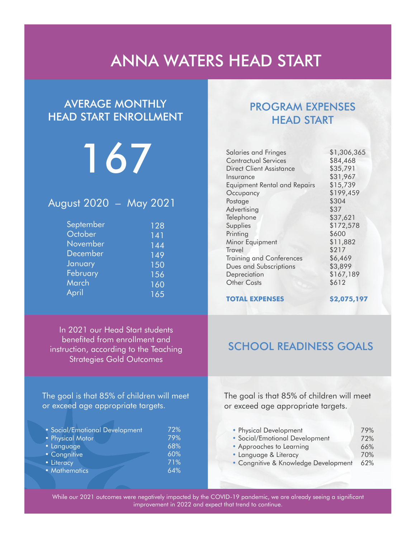#### ANNA WATERS HEAD START

#### AVERAGE MONTHLY HEAD START ENROLLMENT

### 167

#### August 2020 – May 2021

| September | 128              |
|-----------|------------------|
| October   | 141              |
| November  | $14\overline{4}$ |
| December  | 149              |
| January   | 150              |
| February  | 156              |
| March     | 160              |
| April     | 165              |

#### In 2021 our Head Start students benefited from enrollment and instruction, according to the Teaching Strategies Gold Outcomes

The goal is that 85% of children will meet or exceed age appropriate targets.

| • Social/Emotional Development | 72% |
|--------------------------------|-----|
| • Physical Motor               | 79% |
| • Language                     | 68% |
| • Congnitive                   | 60% |
| • Literacy                     | 71% |
| • Mathematics                  | 64% |
|                                |     |

#### PROGRAM EXPENSES HEAD START

| Salaries and Fringes            | \$1,306,365 |
|---------------------------------|-------------|
| <b>Contractual Services</b>     | \$84,468    |
| <b>Direct Client Assistance</b> | \$35,791    |
| Insurance                       | \$31,967    |
| Equipment Rental and Repairs    | \$15,739    |
| Occupancy                       | \$199,459   |
| Postage                         | \$304       |
| Advertising                     | \$37        |
| Telephone                       | \$37,621    |
| Supplies                        | \$172,578   |
| Printing                        | \$600       |
| Minor Equipment                 | \$11,882    |
| Travel                          | \$217       |
| <b>Training and Conferences</b> | \$6,469     |
| Dues and Subscriptions          | \$3,899     |
| Depreciation                    | \$167,189   |
| Other Costs                     | \$612       |
| <b>TOTAL EXPENSES</b>           | \$2,075,197 |
|                                 |             |

#### SCHOOL READINESS GOALS

The goal is that 85% of children will meet or exceed age appropriate targets.

| 79%                                         |
|---------------------------------------------|
| 72%                                         |
| 66%                                         |
| 70%                                         |
| • Congnitive & Knowledge Development<br>62% |
|                                             |

While our 2021 outcomes were negatively impacted by the COVID-19 pandemic, we are already seeing a significant improvement in 2022 and expect that trend to continue.